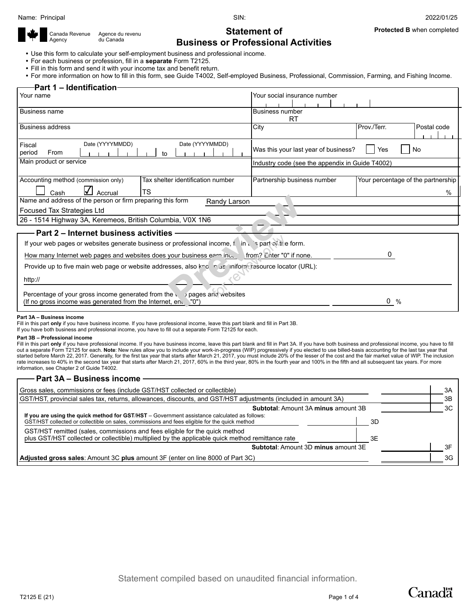Canada Revenue Agency

**Protected B** when completed

## **Statement of Business or Professional Activities**

Use this form to calculate your self-employment business and professional income.

For each business or profession, fill in a **separate** Form T2125.

Agence du revenu du Canada

- Fill in this form and send it with your income tax and benefit return.
- For more information on how to fill in this form, see Guide T4002, Self-employed Business, Professional, Commission, Farming, and Fishing Income.

| <b>Part 1 – Identification</b>                                                                          |                                                 |                                    |  |  |  |  |  |
|---------------------------------------------------------------------------------------------------------|-------------------------------------------------|------------------------------------|--|--|--|--|--|
| Your name                                                                                               | Your social insurance number                    |                                    |  |  |  |  |  |
|                                                                                                         |                                                 |                                    |  |  |  |  |  |
| <b>Business name</b>                                                                                    | <b>Business number</b>                          |                                    |  |  |  |  |  |
|                                                                                                         | <b>RT</b>                                       |                                    |  |  |  |  |  |
| <b>Business address</b>                                                                                 | City                                            | Prov./Terr.<br>Postal code         |  |  |  |  |  |
|                                                                                                         |                                                 |                                    |  |  |  |  |  |
| Date (YYYYMMDD)<br>Date (YYYYMMDD)<br>Fiscal                                                            |                                                 |                                    |  |  |  |  |  |
| period<br>From<br>to                                                                                    | Was this your last year of business?            | No<br>Yes                          |  |  |  |  |  |
| Main product or service                                                                                 | Industry code (see the appendix in Guide T4002) |                                    |  |  |  |  |  |
|                                                                                                         |                                                 |                                    |  |  |  |  |  |
| Accounting method (commission only)<br>Tax shelter identification number                                | Partnership business number                     | Your percentage of the partnership |  |  |  |  |  |
| TS<br>Accrual<br>Cash                                                                                   |                                                 | $\%$                               |  |  |  |  |  |
| Name and address of the person or firm preparing this form<br>Randy Larson                              |                                                 |                                    |  |  |  |  |  |
| Focused Tax Strategies Ltd                                                                              |                                                 |                                    |  |  |  |  |  |
| 26 - 1514 Highway 3A, Keremeos, British Columbia, V0X 1N6                                               |                                                 |                                    |  |  |  |  |  |
| Part 2 - Internet business activities                                                                   |                                                 |                                    |  |  |  |  |  |
| If your web pages or websites generate business or professional income, to in a spart of the form.      |                                                 |                                    |  |  |  |  |  |
|                                                                                                         |                                                 |                                    |  |  |  |  |  |
| How many Internet web pages and websites does your business earn incertainty Finter "0" if none.        |                                                 |                                    |  |  |  |  |  |
| Provide up to five main web page or website addresses, also knolling is iniform resource locator (URL): |                                                 |                                    |  |  |  |  |  |
| http://                                                                                                 |                                                 |                                    |  |  |  |  |  |
|                                                                                                         |                                                 |                                    |  |  |  |  |  |
| Percentage of your gross income generated from the volages and websites                                 |                                                 |                                    |  |  |  |  |  |
| (If no gross income was generated from the Internet, end<br>."0")                                       |                                                 | $\mathbf{0}$<br>$\frac{0}{0}$      |  |  |  |  |  |

#### **Part 3A – Business income**

Fill in this part **only** if you have business income. If you have professional income, leave this part blank and fill in Part 3B.

If you have both business and professional income, you have to fill out a separate Form T2125 for each.

#### **Part 3B – Professional income**

Fill in this part only if you have professional income. If you have business income, leave this part blank and fill in Part 3A. If you have both business and professional income, you have to fill out a separate Form T2125 for each. **Note**: New rules allow you to include your work-in-progress (WIP) progressively if you elected to use billed-basis accounting for the last tax year that started before March 22, 2017. Generally, for the first tax year that starts after March 21, 2017, you must include 20% of the lesser of the cost and the fair market value of WIP. The inclusion rate increases to 40% in the second tax year that starts after March 21, 2017, 60% in the third year, 80% in the fourth year and 100% in the fifth and all subsequent tax years. For more information, see Chapter 2 of Guide T4002.

### **Part 3A – Business income**

| Gross sales, commissions or fees (include GST/HST collected or collectible)                                                                                                                                                  | 3A  |
|------------------------------------------------------------------------------------------------------------------------------------------------------------------------------------------------------------------------------|-----|
| GST/HST, provincial sales tax, returns, allowances, discounts, and GST/HST adjustments (included in amount 3A)                                                                                                               | 3B  |
| <b>Subtotal:</b> Amount 3A minus amount 3B                                                                                                                                                                                   | ЗC  |
| If you are using the quick method for $GST/HST - Gover$ method for $GST/HT - Gover$ assistance calculated as follows:<br>GST/HST collected or collectible on sales, commissions and fees eligible for the quick method<br>3D |     |
| GST/HST remitted (sales, commissions and fees eligible for the quick method<br>plus GST/HST collected or collectible) multiplied by the applicable quick method remittance rate<br>3E                                        |     |
| <b>Subtotal: Amount 3D minus amount 3E</b>                                                                                                                                                                                   |     |
| Adjusted gross sales: Amount 3C plus amount 3F (enter on line 8000 of Part 3C)                                                                                                                                               | 3G. |

**Canadä**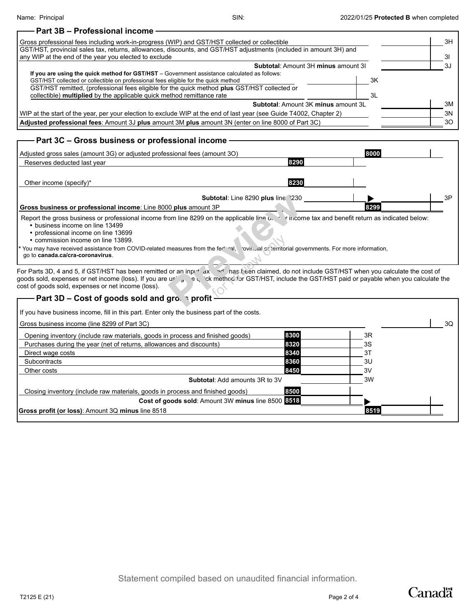| - Part 3B - Professional income                                                                                                                                                                                                                                                     |      |                |
|-------------------------------------------------------------------------------------------------------------------------------------------------------------------------------------------------------------------------------------------------------------------------------------|------|----------------|
| Gross professional fees including work-in-progress (WIP) and GST/HST collected or collectible                                                                                                                                                                                       |      | 3H             |
| GST/HST, provincial sales tax, returns, allowances, discounts, and GST/HST adjustments (included in amount 3H) and<br>any WIP at the end of the year you elected to exclude                                                                                                         |      | 3 <sup>l</sup> |
| Subtotal: Amount 3H minus amount 3I                                                                                                                                                                                                                                                 |      | 3J             |
| If you are using the quick method for GST/HST - Government assistance calculated as follows:<br>GST/HST collected or collectible on professional fees eligible for the quick method<br>GST/HST remitted, (professional fees eligible for the quick method plus GST/HST collected or | 3K   |                |
| collectible) multiplied by the applicable quick method remittance rate                                                                                                                                                                                                              | 3L   |                |
| Subtotal: Amount 3K minus amount 3L                                                                                                                                                                                                                                                 |      | 3M             |
| WIP at the start of the year, per your election to exclude WIP at the end of last year (see Guide T4002, Chapter 2)                                                                                                                                                                 |      | 3N             |
| Adjusted professional fees: Amount 3J plus amount 3M plus amount 3N (enter on line 8000 of Part 3C)                                                                                                                                                                                 |      | 30             |
| - Part 3C - Gross business or professional income<br>Adiusted gross sales (amount 3G) or adiusted professional fees (amount 3O)                                                                                                                                                     | 8000 |                |

| Adjusted gross sales (amount 3G) or adjusted professional fees (amount 3O)                                                                                                                                                                                                                                                                                                                    |                                    | 8000                                                       |    |
|-----------------------------------------------------------------------------------------------------------------------------------------------------------------------------------------------------------------------------------------------------------------------------------------------------------------------------------------------------------------------------------------------|------------------------------------|------------------------------------------------------------|----|
| Reserves deducted last year                                                                                                                                                                                                                                                                                                                                                                   | 8290                               |                                                            |    |
| Other income (specify)*                                                                                                                                                                                                                                                                                                                                                                       | 8230                               |                                                            |    |
|                                                                                                                                                                                                                                                                                                                                                                                               | Subtotal: Line 8290 plus line 1230 |                                                            | 3P |
| Gross business or professional income: Line 8000 plus amount 3P                                                                                                                                                                                                                                                                                                                               |                                    | 8299                                                       |    |
| Report the gross business or professional income from line 8299 on the applicable line o.<br>• business income on line 13499<br>• professional income on line 13699<br>• commission income on line 13899.<br>t You may have received assistance from COVID-related measures from the federal, rovinsial or territorial governments. For more information,<br>go to canada.ca/cra-coronavirus. |                                    | $\sim$ T income tax and benefit return as indicated below: |    |
| or Parts 3D, 4 and 5, if GST/HST has been remitted or an inpu+ ax and inas been claimed, do not include GST/HST when you calculate the cost of<br>oods sold, expenses or net income (loss). If you are using the visit of the fact of or GST/HST, include the GST/HST paid or payable when you calculate the<br>ost of goods sold, expenses or net income (loss).                             |                                    |                                                            |    |
| Part 3D – Cost of goods sold and gro. $\frac{1}{2}$ profit                                                                                                                                                                                                                                                                                                                                    |                                    |                                                            |    |
|                                                                                                                                                                                                                                                                                                                                                                                               |                                    |                                                            |    |

| <b>Part 3D – Cost of goods sold and gro. sprofit-</b>                                      |      |      |    |
|--------------------------------------------------------------------------------------------|------|------|----|
| If you have business income, fill in this part. Enter only the business part of the costs. |      |      |    |
| Gross business income (line 8299 of Part 3C)                                               |      |      | 3Q |
| Opening inventory (include raw materials, goods in process and finished goods)             | 8300 | 3R   |    |
| Purchases during the year (net of returns, allowances and discounts)                       | 8320 | 3S   |    |
| Direct wage costs                                                                          | 8340 | 3T   |    |
| <b>Subcontracts</b>                                                                        | 8360 | 3U   |    |
| Other costs                                                                                | 8450 | 3V   |    |
| <b>Subtotal:</b> Add amounts 3R to 3V                                                      |      | 3W   |    |
| Closing inventory (include raw materials, goods in process and finished goods)             | 8500 |      |    |
| Cost of goods sold: Amount 3W minus line 8500 8518                                         |      |      |    |
| <b>Gross profit (or loss):</b> Amount 3Q minus line 8518                                   |      | 8519 |    |
|                                                                                            |      |      |    |

Canadä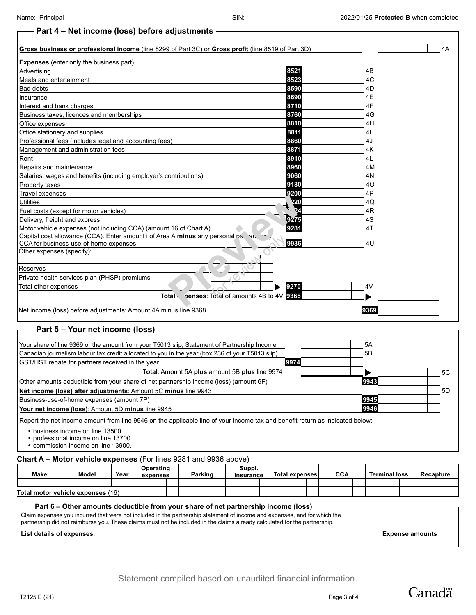## **Part 4 – Net income (loss) before adjustments**

## **Gross business or professional income** (line 8299 of Part 3C) or **Gross profit** (line 8519 of Part 3D) 4A **Expenses** (enter only the business part) Advertising **8521** 4B Meals and entertainment **8523** 4C Bad debts **8590** 4D Insurance **8690** 4E Interest and bank charges **8710** 4F Business taxes, licences and memberships **8760** 4G Office expenses **8810** 4H Office stationery and supplies **8811** 4I Professional fees (includes legal and accounting fees) **8860** 4J Management and administration fees **8871** 4K Rent **8910** 4L Repairs and maintenance **8960** 4M Salaries, wages and benefits (including employer's contributions) **9060** 9060 4N Property taxes **9180** 4O Travel expenses **9200** 4P Utilities **9220** 4Q Fuel costs (except for motor vehicles) **924** 4R Delivery, freight and express **6275** 4S Motor vehicle expenses (not including CCA) (amount 16 of Chart A) **9281** 9281 4T 4U Capital cost allowance (CCA). Enter amount i of Area A minus any personal part and any CCA for business-use-of-home expenses **9936** Other expenses (specify): Reserves Private health services plan (PHSP) premiums Total other expenses **9270** 4V **Total expenses**: Total of amounts 4B to 4V **9368** Net income (loss) before adjustments: Amount 4A minus line 9368 **9369 Preview for Chart A)**<br> **Preview only a A minus any personal party only only to the second party of the second party of the second party of the second party of the second party of the second party of the second party of th**

## **Part 5 – Your net income (loss)**

| Your share of line 9369 or the amount from your T5013 slip, Statement of Partnership Income                                  | 5A   |     |
|------------------------------------------------------------------------------------------------------------------------------|------|-----|
| Canadian journalism labour tax credit allocated to you in the year (box 236 of your T5013 slip)                              | 5Β   |     |
| 9974<br>GST/HST rebate for partners received in the year                                                                     |      |     |
| <b>Total:</b> Amount 5A plus amount 5B plus line 9974                                                                        |      | 5C  |
| Other amounts deductible from your share of net partnership income (loss) (amount 6F)                                        | 9943 |     |
| Net income (loss) after adjustments: Amount 5C minus line 9943                                                               |      | .5D |
| Business-use-of-home expenses (amount 7P)                                                                                    | 9945 |     |
| Your net income (loss): Amount 5D minus line 9945                                                                            | 9946 |     |
| Report the net income amount from line 9946 on the applicable line of your income tax and benefit return as indicated below: |      |     |

business income on line 13500

professional income on line 13700

commission income on line 13900.

### **Chart A – Motor vehicle expenses** (For lines 9281 and 9936 above)

| <b>Make</b>                       | Model | Year | Operating<br>expenses | Parking |  | Suppl.<br>insurance |  | Total expenses |  | <b>CCA</b> |  | <b>Terminal loss</b> |  | Recapture |  |
|-----------------------------------|-------|------|-----------------------|---------|--|---------------------|--|----------------|--|------------|--|----------------------|--|-----------|--|
|                                   |       |      |                       |         |  |                     |  |                |  |            |  |                      |  |           |  |
| Total motor vehicle expenses (16) |       |      |                       |         |  |                     |  |                |  |            |  |                      |  |           |  |

### **Part 6 – Other amounts deductible from your share of net partnership income (loss)**

Claim expenses you incurred that were not included in the partnership statement of income and expenses, and for which the partnership did not reimburse you. These claims must not be included in the claims already calculated for the partnership.

**List details of expenses**: **Expense amounts**